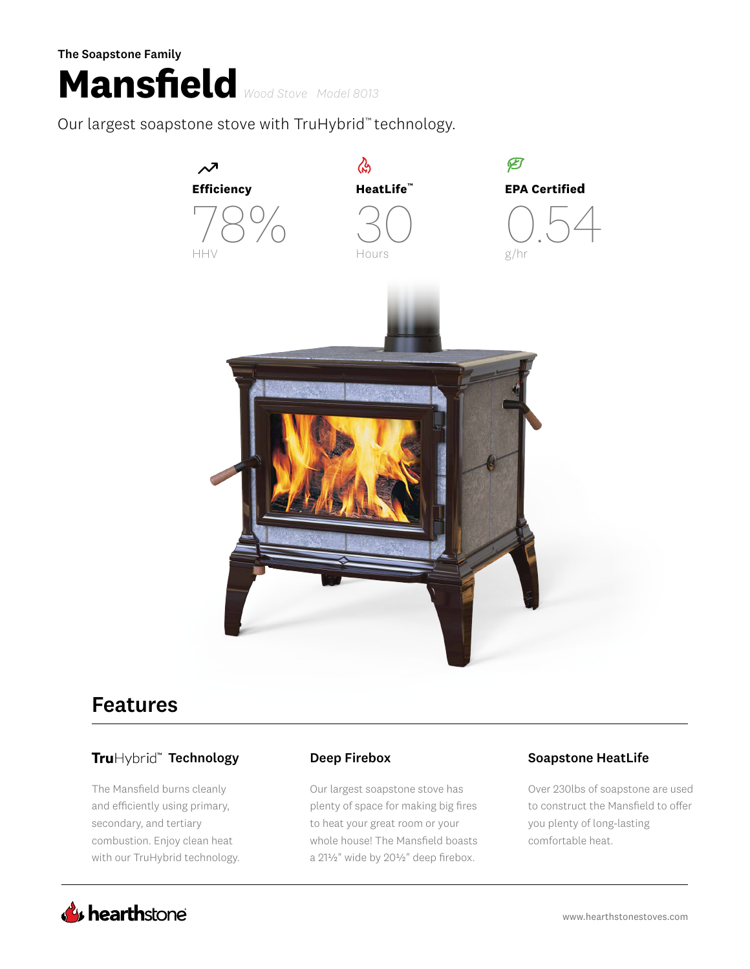# **Mansfield** *Wood Stove Model 8013* The Soapstone Family

Our largest soapstone stove with TruHybrid™ technology.



## Features

### TruHybrid" Technology **Deep Firebox** Deep **Soapstone HeatLife**

The Mansfield burns cleanly and efficiently using primary, secondary, and tertiary combustion. Enjoy clean heat with our TruHybrid technology.

Our largest soapstone stove has plenty of space for making big fires to heat your great room or your whole house! The Mansfield boasts a 21½" wide by 20½" deep firebox.

Over 230lbs of soapstone are used to construct the Mansfield to offer you plenty of long-lasting comfortable heat.